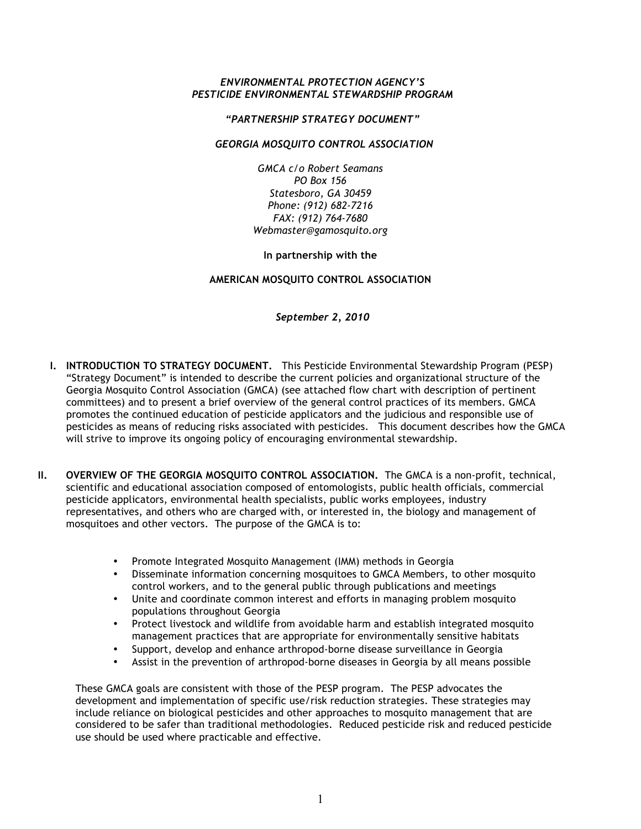## *ENVIRONMENTAL PROTECTION AGENCY'S PESTICIDE ENVIRONMENTAL STEWARDSHIP PROGRAM*

### *"PARTNERSHIP STRATEGY DOCUMENT"*

## *GEORGIA MOSQUITO CONTROL ASSOCIATION*

*GMCA c/o Robert Seamans PO Box 156 Statesboro, GA 30459 Phone: (912) 682-7216 FAX: (912) 764-7680 Webmaster@gamosquito.org*

## **In partnership with the**

# **AMERICAN MOSQUITO CONTROL ASSOCIATION**

*September 2, 2010*

- **I. INTRODUCTION TO STRATEGY DOCUMENT.** This Pesticide Environmental Stewardship Program (PESP) "Strategy Document" is intended to describe the current policies and organizational structure of the Georgia Mosquito Control Association (GMCA) (see attached flow chart with description of pertinent committees) and to present a brief overview of the general control practices of its members. GMCA promotes the continued education of pesticide applicators and the judicious and responsible use of pesticides as means of reducing risks associated with pesticides. This document describes how the GMCA will strive to improve its ongoing policy of encouraging environmental stewardship.
- **II. OVERVIEW OF THE GEORGIA MOSQUITO CONTROL ASSOCIATION.** The GMCA is a non-profit, technical, scientific and educational association composed of entomologists, public health officials, commercial pesticide applicators, environmental health specialists, public works employees, industry representatives, and others who are charged with, or interested in, the biology and management of mosquitoes and other vectors. The purpose of the GMCA is to:
	- Promote Integrated Mosquito Management (IMM) methods in Georgia
	- Disseminate information concerning mosquitoes to GMCA Members, to other mosquito control workers, and to the general public through publications and meetings
	- Unite and coordinate common interest and efforts in managing problem mosquito populations throughout Georgia
	- Protect livestock and wildlife from avoidable harm and establish integrated mosquito management practices that are appropriate for environmentally sensitive habitats
	- Support, develop and enhance arthropod-borne disease surveillance in Georgia
	- Assist in the prevention of arthropod-borne diseases in Georgia by all means possible

These GMCA goals are consistent with those of the PESP program. The PESP advocates the development and implementation of specific use/risk reduction strategies. These strategies may include reliance on biological pesticides and other approaches to mosquito management that are considered to be safer than traditional methodologies. Reduced pesticide risk and reduced pesticide use should be used where practicable and effective.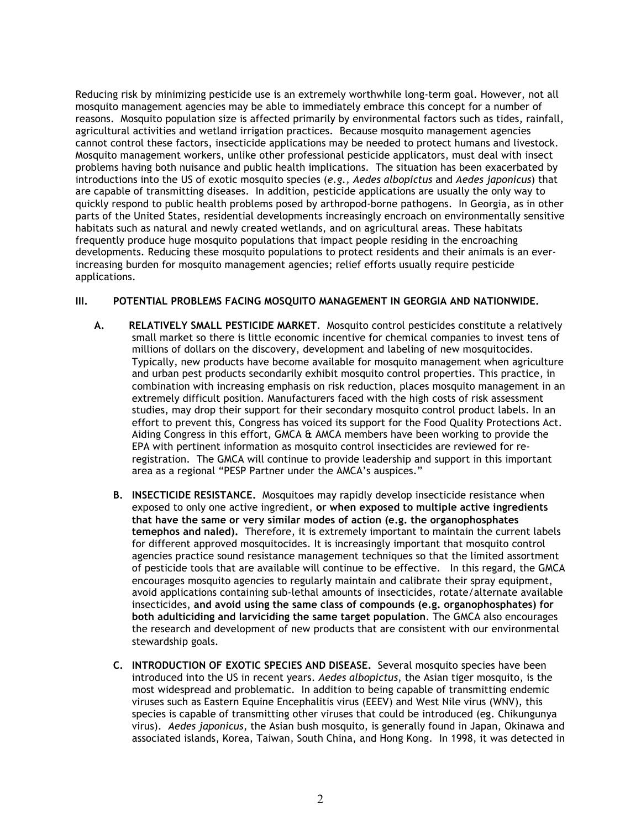Reducing risk by minimizing pesticide use is an extremely worthwhile long-term goal. However, not all mosquito management agencies may be able to immediately embrace this concept for a number of reasons. Mosquito population size is affected primarily by environmental factors such as tides, rainfall, agricultural activities and wetland irrigation practices. Because mosquito management agencies cannot control these factors, insecticide applications may be needed to protect humans and livestock. Mosquito management workers, unlike other professional pesticide applicators, must deal with insect problems having both nuisance and public health implications. The situation has been exacerbated by introductions into the US of exotic mosquito species (*e.g., Aedes albopictus* and *Aedes japonicus*) that are capable of transmitting diseases. In addition, pesticide applications are usually the only way to quickly respond to public health problems posed by arthropod-borne pathogens. In Georgia, as in other parts of the United States, residential developments increasingly encroach on environmentally sensitive habitats such as natural and newly created wetlands, and on agricultural areas. These habitats frequently produce huge mosquito populations that impact people residing in the encroaching developments. Reducing these mosquito populations to protect residents and their animals is an everincreasing burden for mosquito management agencies; relief efforts usually require pesticide applications.

# **III. POTENTIAL PROBLEMS FACING MOSQUITO MANAGEMENT IN GEORGIA AND NATIONWIDE.**

- **A. RELATIVELY SMALL PESTICIDE MARKET**. Mosquito control pesticides constitute a relatively small market so there is little economic incentive for chemical companies to invest tens of millions of dollars on the discovery, development and labeling of new mosquitocides. Typically, new products have become available for mosquito management when agriculture and urban pest products secondarily exhibit mosquito control properties. This practice, in combination with increasing emphasis on risk reduction, places mosquito management in an extremely difficult position. Manufacturers faced with the high costs of risk assessment studies, may drop their support for their secondary mosquito control product labels. In an effort to prevent this, Congress has voiced its support for the Food Quality Protections Act. Aiding Congress in this effort, GMCA & AMCA members have been working to provide the EPA with pertinent information as mosquito control insecticides are reviewed for reregistration. The GMCA will continue to provide leadership and support in this important area as a regional "PESP Partner under the AMCA's auspices."
	- **B. INSECTICIDE RESISTANCE.** Mosquitoes may rapidly develop insecticide resistance when exposed to only one active ingredient, **or when exposed to multiple active ingredients that have the same or very similar modes of action (e.g. the organophosphates temephos and naled).** Therefore, it is extremely important to maintain the current labels for different approved mosquitocides. It is increasingly important that mosquito control agencies practice sound resistance management techniques so that the limited assortment of pesticide tools that are available will continue to be effective. In this regard, the GMCA encourages mosquito agencies to regularly maintain and calibrate their spray equipment, avoid applications containing sub-lethal amounts of insecticides, rotate/alternate available insecticides, **and avoid using the same class of compounds (e.g. organophosphates) for both adulticiding and larviciding the same target population**. The GMCA also encourages the research and development of new products that are consistent with our environmental stewardship goals.
	- **C. INTRODUCTION OF EXOTIC SPECIES AND DISEASE.** Several mosquito species have been introduced into the US in recent years. *Aedes albopictus*, the Asian tiger mosquito, is the most widespread and problematic. In addition to being capable of transmitting endemic viruses such as Eastern Equine Encephalitis virus (EEEV) and West Nile virus (WNV), this species is capable of transmitting other viruses that could be introduced (eg. Chikungunya virus). *Aedes japonicus*, the Asian bush mosquito, is generally found in Japan, Okinawa and associated islands, Korea, Taiwan, South China, and Hong Kong. In 1998, it was detected in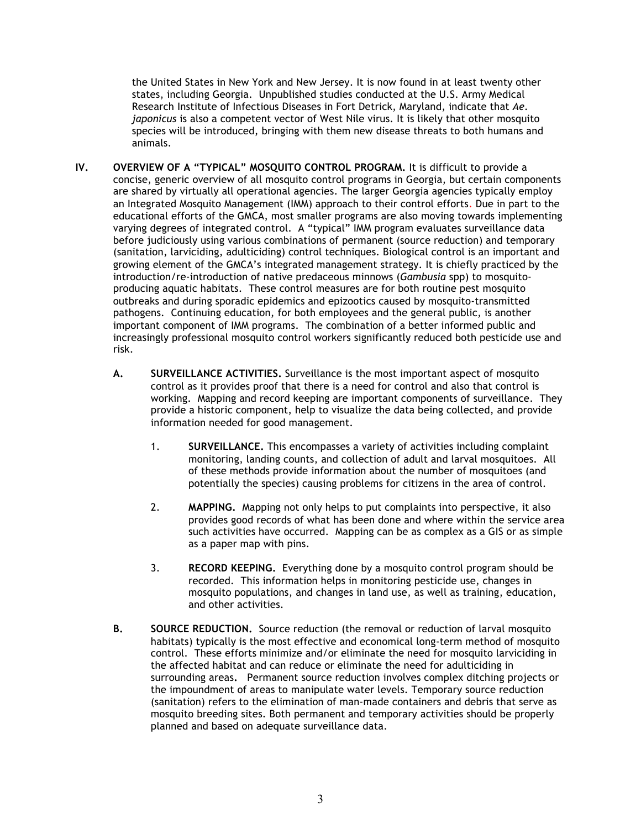the United States in New York and New Jersey. It is now found in at least twenty other states, including Georgia. Unpublished studies conducted at the U.S. Army Medical Research Institute of Infectious Diseases in Fort Detrick, Maryland, indicate that *Ae. japonicus* is also a competent vector of West Nile virus. It is likely that other mosquito species will be introduced, bringing with them new disease threats to both humans and animals.

- **IV. OVERVIEW OF A "TYPICAL" MOSQUITO CONTROL PROGRAM.** It is difficult to provide a concise, generic overview of all mosquito control programs in Georgia, but certain components are shared by virtually all operational agencies. The larger Georgia agencies typically employ an Integrated Mosquito Management (IMM) approach to their control efforts. Due in part to the educational efforts of the GMCA, most smaller programs are also moving towards implementing varying degrees of integrated control. A "typical" IMM program evaluates surveillance data before judiciously using various combinations of permanent (source reduction) and temporary (sanitation, larviciding, adulticiding) control techniques. Biological control is an important and growing element of the GMCA's integrated management strategy. It is chiefly practiced by the introduction/re-introduction of native predaceous minnows (*Gambusia* spp) to mosquitoproducing aquatic habitats. These control measures are for both routine pest mosquito outbreaks and during sporadic epidemics and epizootics caused by mosquito-transmitted pathogens. Continuing education, for both employees and the general public, is another important component of IMM programs. The combination of a better informed public and increasingly professional mosquito control workers significantly reduced both pesticide use and risk.
	- **A. SURVEILLANCE ACTIVITIES.** Surveillance is the most important aspect of mosquito control as it provides proof that there is a need for control and also that control is working. Mapping and record keeping are important components of surveillance. They provide a historic component, help to visualize the data being collected, and provide information needed for good management.
		- 1. **SURVEILLANCE.** This encompasses a variety of activities including complaint monitoring, landing counts, and collection of adult and larval mosquitoes. All of these methods provide information about the number of mosquitoes (and potentially the species) causing problems for citizens in the area of control.
		- 2. **MAPPING.** Mapping not only helps to put complaints into perspective, it also provides good records of what has been done and where within the service area such activities have occurred. Mapping can be as complex as a GIS or as simple as a paper map with pins.
		- 3. **RECORD KEEPING.** Everything done by a mosquito control program should be recorded. This information helps in monitoring pesticide use, changes in mosquito populations, and changes in land use, as well as training, education, and other activities.
	- **B. SOURCE REDUCTION.** Source reduction (the removal or reduction of larval mosquito habitats) typically is the most effective and economical long-term method of mosquito control. These efforts minimize and/or eliminate the need for mosquito larviciding in the affected habitat and can reduce or eliminate the need for adulticiding in surrounding areas**.** Permanent source reduction involves complex ditching projects or the impoundment of areas to manipulate water levels. Temporary source reduction (sanitation) refers to the elimination of man-made containers and debris that serve as mosquito breeding sites. Both permanent and temporary activities should be properly planned and based on adequate surveillance data.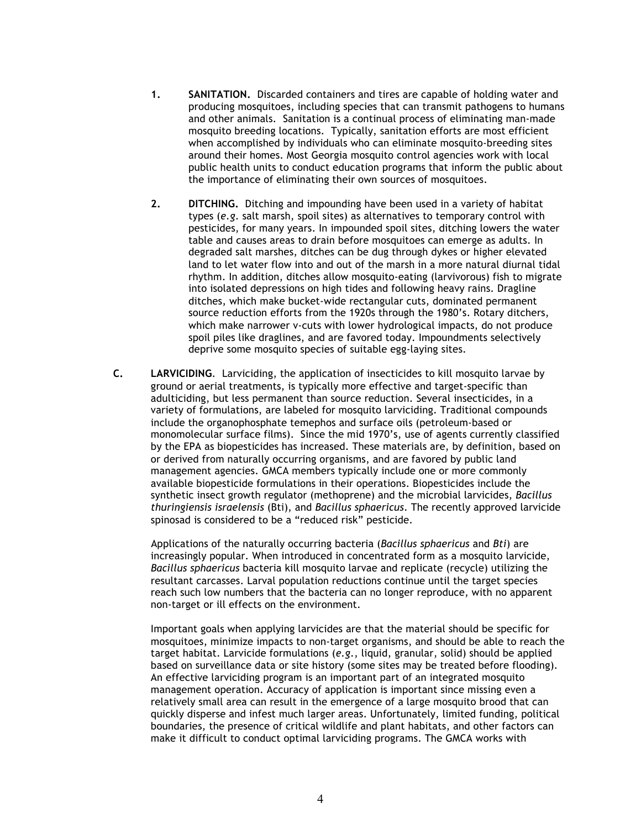- **1. SANITATION.** Discarded containers and tires are capable of holding water and producing mosquitoes, including species that can transmit pathogens to humans and other animals. Sanitation is a continual process of eliminating man-made mosquito breeding locations. Typically, sanitation efforts are most efficient when accomplished by individuals who can eliminate mosquito-breeding sites around their homes. Most Georgia mosquito control agencies work with local public health units to conduct education programs that inform the public about the importance of eliminating their own sources of mosquitoes.
- **2. DITCHING.** Ditching and impounding have been used in a variety of habitat types (*e.g*. salt marsh, spoil sites) as alternatives to temporary control with pesticides, for many years. In impounded spoil sites, ditching lowers the water table and causes areas to drain before mosquitoes can emerge as adults. In degraded salt marshes, ditches can be dug through dykes or higher elevated land to let water flow into and out of the marsh in a more natural diurnal tidal rhythm. In addition, ditches allow mosquito-eating (larvivorous) fish to migrate into isolated depressions on high tides and following heavy rains. Dragline ditches, which make bucket-wide rectangular cuts, dominated permanent source reduction efforts from the 1920s through the 1980's. Rotary ditchers, which make narrower v-cuts with lower hydrological impacts, do not produce spoil piles like draglines, and are favored today. Impoundments selectively deprive some mosquito species of suitable egg-laying sites.
- **C. LARVICIDING**. Larviciding, the application of insecticides to kill mosquito larvae by ground or aerial treatments, is typically more effective and target-specific than adulticiding, but less permanent than source reduction. Several insecticides, in a variety of formulations, are labeled for mosquito larviciding. Traditional compounds include the organophosphate temephos and surface oils (petroleum-based or monomolecular surface films). Since the mid 1970's, use of agents currently classified by the EPA as biopesticides has increased. These materials are, by definition, based on or derived from naturally occurring organisms, and are favored by public land management agencies. GMCA members typically include one or more commonly available biopesticide formulations in their operations. Biopesticides include the synthetic insect growth regulator (methoprene) and the microbial larvicides, *Bacillus thuringiensis israelensis* (Bti), and *Bacillus sphaericus*. The recently approved larvicide spinosad is considered to be a "reduced risk" pesticide.

 Applications of the naturally occurring bacteria (*Bacillus sphaericus* and *Bti*) are increasingly popular*.* When introduced in concentrated form as a mosquito larvicide, *Bacillus sphaericus* bacteria kill mosquito larvae and replicate (recycle) utilizing the resultant carcasses. Larval population reductions continue until the target species reach such low numbers that the bacteria can no longer reproduce, with no apparent non-target or ill effects on the environment.

Important goals when applying larvicides are that the material should be specific for mosquitoes, minimize impacts to non-target organisms, and should be able to reach the target habitat. Larvicide formulations (*e.g*., liquid, granular, solid) should be applied based on surveillance data or site history (some sites may be treated before flooding). An effective larviciding program is an important part of an integrated mosquito management operation. Accuracy of application is important since missing even a relatively small area can result in the emergence of a large mosquito brood that can quickly disperse and infest much larger areas. Unfortunately, limited funding, political boundaries, the presence of critical wildlife and plant habitats, and other factors can make it difficult to conduct optimal larviciding programs. The GMCA works with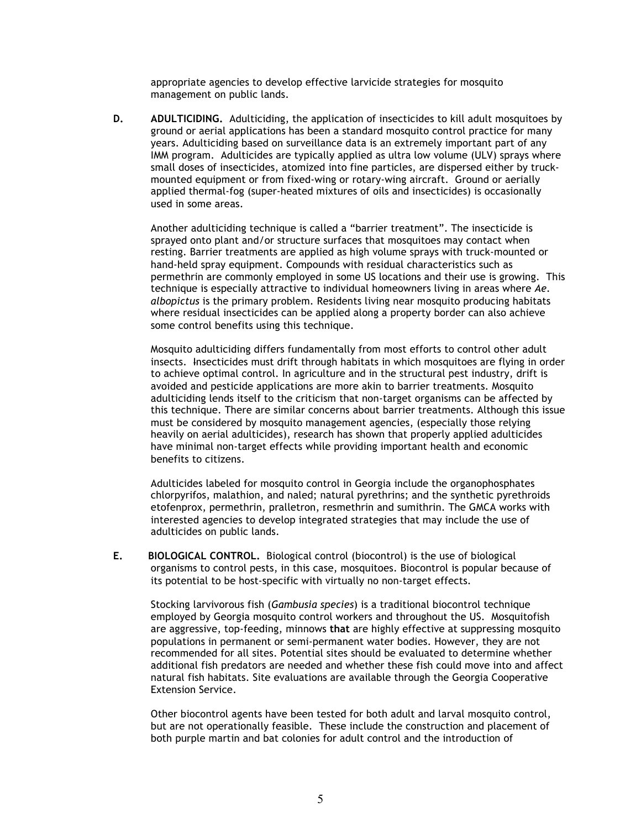appropriate agencies to develop effective larvicide strategies for mosquito management on public lands.

**D. ADULTICIDING.** Adulticiding, the application of insecticides to kill adult mosquitoes by ground or aerial applications has been a standard mosquito control practice for many years. Adulticiding based on surveillance data is an extremely important part of any IMM program. Adulticides are typically applied as ultra low volume (ULV) sprays where small doses of insecticides, atomized into fine particles, are dispersed either by truckmounted equipment or from fixed-wing or rotary-wing aircraft. Ground or aerially applied thermal-fog (super-heated mixtures of oils and insecticides) is occasionally used in some areas.

Another adulticiding technique is called a "barrier treatment". The insecticide is sprayed onto plant and/or structure surfaces that mosquitoes may contact when resting. Barrier treatments are applied as high volume sprays with truck-mounted or hand-held spray equipment. Compounds with residual characteristics such as permethrin are commonly employed in some US locations and their use is growing. This technique is especially attractive to individual homeowners living in areas where *Ae. albopictus* is the primary problem. Residents living near mosquito producing habitats where residual insecticides can be applied along a property border can also achieve some control benefits using this technique.

Mosquito adulticiding differs fundamentally from most efforts to control other adult insects. Insecticides must drift through habitats in which mosquitoes are flying in order to achieve optimal control. In agriculture and in the structural pest industry, drift is avoided and pesticide applications are more akin to barrier treatments. Mosquito adulticiding lends itself to the criticism that non-target organisms can be affected by this technique. There are similar concerns about barrier treatments. Although this issue must be considered by mosquito management agencies, (especially those relying heavily on aerial adulticides), research has shown that properly applied adulticides have minimal non-target effects while providing important health and economic benefits to citizens.

Adulticides labeled for mosquito control in Georgia include the organophosphates chlorpyrifos, malathion, and naled; natural pyrethrins; and the synthetic pyrethroids etofenprox, permethrin, pralletron, resmethrin and sumithrin. The GMCA works with interested agencies to develop integrated strategies that may include the use of adulticides on public lands.

**E. BIOLOGICAL CONTROL.** Biological control (biocontrol) is the use of biological organisms to control pests, in this case, mosquitoes. Biocontrol is popular because of its potential to be host-specific with virtually no non-target effects.

Stocking larvivorous fish (*Gambusia species*) is a traditional biocontrol technique employed by Georgia mosquito control workers and throughout the US. Mosquitofish are aggressive, top-feeding, minnows **that** are highly effective at suppressing mosquito populations in permanent or semi-permanent water bodies. However, they are not recommended for all sites. Potential sites should be evaluated to determine whether additional fish predators are needed and whether these fish could move into and affect natural fish habitats. Site evaluations are available through the Georgia Cooperative Extension Service.

Other biocontrol agents have been tested for both adult and larval mosquito control, but are not operationally feasible. These include the construction and placement of both purple martin and bat colonies for adult control and the introduction of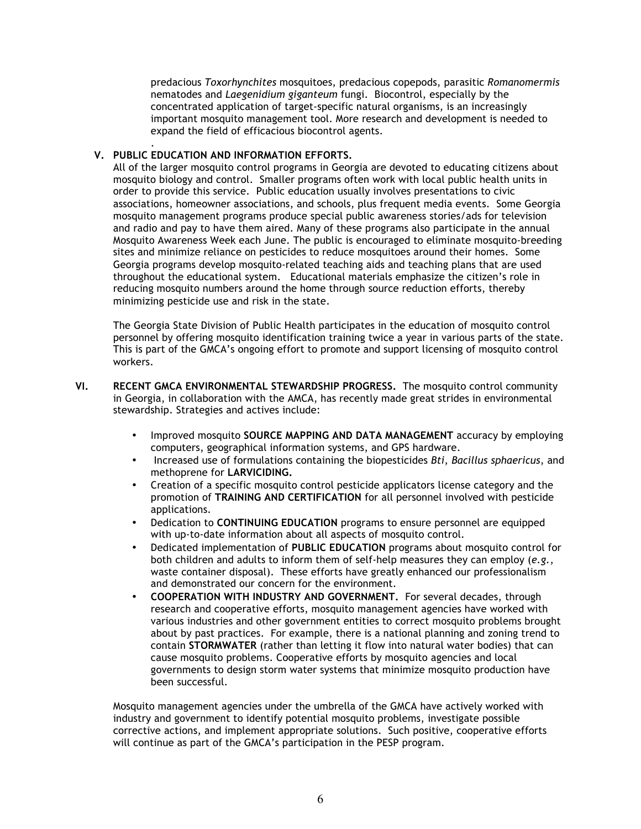predacious *Toxorhynchites* mosquitoes, predacious copepods, parasitic *Romanomermis* nematodes and *Laegenidium giganteum* fungi. Biocontrol, especially by the concentrated application of target-specific natural organisms, is an increasingly important mosquito management tool. More research and development is needed to expand the field of efficacious biocontrol agents.

#### . **V. PUBLIC EDUCATION AND INFORMATION EFFORTS.**

All of the larger mosquito control programs in Georgia are devoted to educating citizens about mosquito biology and control. Smaller programs often work with local public health units in order to provide this service. Public education usually involves presentations to civic associations, homeowner associations, and schools, plus frequent media events. Some Georgia mosquito management programs produce special public awareness stories/ads for television and radio and pay to have them aired. Many of these programs also participate in the annual Mosquito Awareness Week each June. The public is encouraged to eliminate mosquito-breeding sites and minimize reliance on pesticides to reduce mosquitoes around their homes. Some Georgia programs develop mosquito-related teaching aids and teaching plans that are used throughout the educational system. Educational materials emphasize the citizen's role in reducing mosquito numbers around the home through source reduction efforts, thereby minimizing pesticide use and risk in the state.

The Georgia State Division of Public Health participates in the education of mosquito control personnel by offering mosquito identification training twice a year in various parts of the state. This is part of the GMCA's ongoing effort to promote and support licensing of mosquito control workers.

- **VI. RECENT GMCA ENVIRONMENTAL STEWARDSHIP PROGRESS.** The mosquito control community in Georgia, in collaboration with the AMCA, has recently made great strides in environmental stewardship. Strategies and actives include:
	- Improved mosquito **SOURCE MAPPING AND DATA MANAGEMENT** accuracy by employing computers, geographical information systems, and GPS hardware.
	- Increased use of formulations containing the biopesticides *Bti*, *Bacillus sphaericus*, and methoprene for **LARVICIDING.**
	- Creation of a specific mosquito control pesticide applicators license category and the promotion of **TRAINING AND CERTIFICATION** for all personnel involved with pesticide applications.
	- Dedication to **CONTINUING EDUCATION** programs to ensure personnel are equipped with up-to-date information about all aspects of mosquito control.
	- Dedicated implementation of **PUBLIC EDUCATION** programs about mosquito control for both children and adults to inform them of self-help measures they can employ (*e.g.*, waste container disposal). These efforts have greatly enhanced our professionalism and demonstrated our concern for the environment.
	- **COOPERATION WITH INDUSTRY AND GOVERNMENT.** For several decades, through research and cooperative efforts, mosquito management agencies have worked with various industries and other government entities to correct mosquito problems brought about by past practices. For example, there is a national planning and zoning trend to contain **STORMWATER** (rather than letting it flow into natural water bodies) that can cause mosquito problems. Cooperative efforts by mosquito agencies and local governments to design storm water systems that minimize mosquito production have been successful.

Mosquito management agencies under the umbrella of the GMCA have actively worked with industry and government to identify potential mosquito problems, investigate possible corrective actions, and implement appropriate solutions. Such positive, cooperative efforts will continue as part of the GMCA's participation in the PESP program.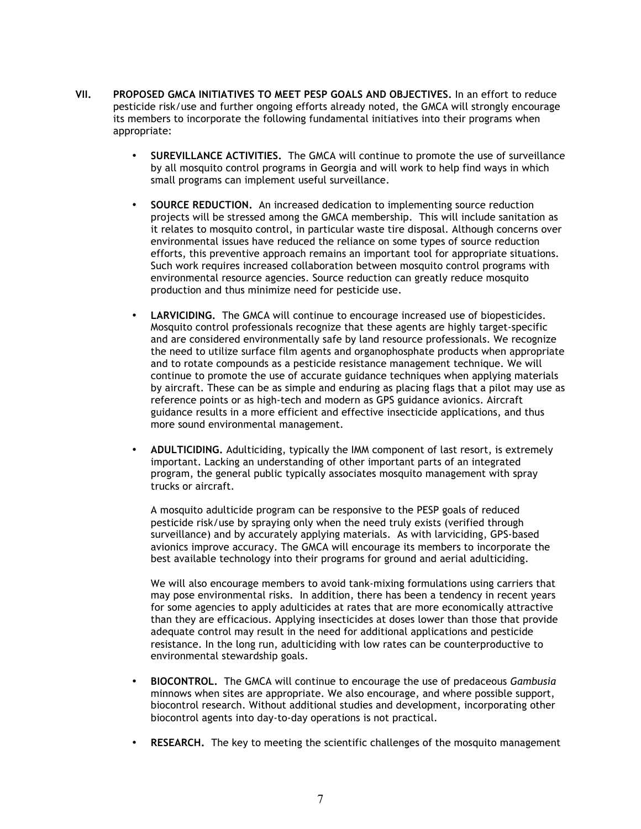- **VII. PROPOSED GMCA INITIATIVES TO MEET PESP GOALS AND OBJECTIVES.** In an effort to reduce pesticide risk/use and further ongoing efforts already noted, the GMCA will strongly encourage its members to incorporate the following fundamental initiatives into their programs when appropriate:
	- **SUREVILLANCE ACTIVITIES.** The GMCA will continue to promote the use of surveillance by all mosquito control programs in Georgia and will work to help find ways in which small programs can implement useful surveillance.
	- **SOURCE REDUCTION.** An increased dedication to implementing source reduction projects will be stressed among the GMCA membership. This will include sanitation as it relates to mosquito control, in particular waste tire disposal. Although concerns over environmental issues have reduced the reliance on some types of source reduction efforts, this preventive approach remains an important tool for appropriate situations. Such work requires increased collaboration between mosquito control programs with environmental resource agencies. Source reduction can greatly reduce mosquito production and thus minimize need for pesticide use.
	- **LARVICIDING.** The GMCA will continue to encourage increased use of biopesticides. Mosquito control professionals recognize that these agents are highly target-specific and are considered environmentally safe by land resource professionals. We recognize the need to utilize surface film agents and organophosphate products when appropriate and to rotate compounds as a pesticide resistance management technique. We will continue to promote the use of accurate guidance techniques when applying materials by aircraft. These can be as simple and enduring as placing flags that a pilot may use as reference points or as high-tech and modern as GPS guidance avionics. Aircraft guidance results in a more efficient and effective insecticide applications, and thus more sound environmental management.
	- **ADULTICIDING.** Adulticiding, typically the IMM component of last resort, is extremely important. Lacking an understanding of other important parts of an integrated program, the general public typically associates mosquito management with spray trucks or aircraft.

A mosquito adulticide program can be responsive to the PESP goals of reduced pesticide risk/use by spraying only when the need truly exists (verified through surveillance) and by accurately applying materials. As with larviciding, GPS-based avionics improve accuracy. The GMCA will encourage its members to incorporate the best available technology into their programs for ground and aerial adulticiding.

We will also encourage members to avoid tank-mixing formulations using carriers that may pose environmental risks. In addition, there has been a tendency in recent years for some agencies to apply adulticides at rates that are more economically attractive than they are efficacious. Applying insecticides at doses lower than those that provide adequate control may result in the need for additional applications and pesticide resistance. In the long run, adulticiding with low rates can be counterproductive to environmental stewardship goals.

- **BIOCONTROL.** The GMCA will continue to encourage the use of predaceous *Gambusia*  minnows when sites are appropriate. We also encourage, and where possible support, biocontrol research. Without additional studies and development, incorporating other biocontrol agents into day-to-day operations is not practical.
- **RESEARCH.** The key to meeting the scientific challenges of the mosquito management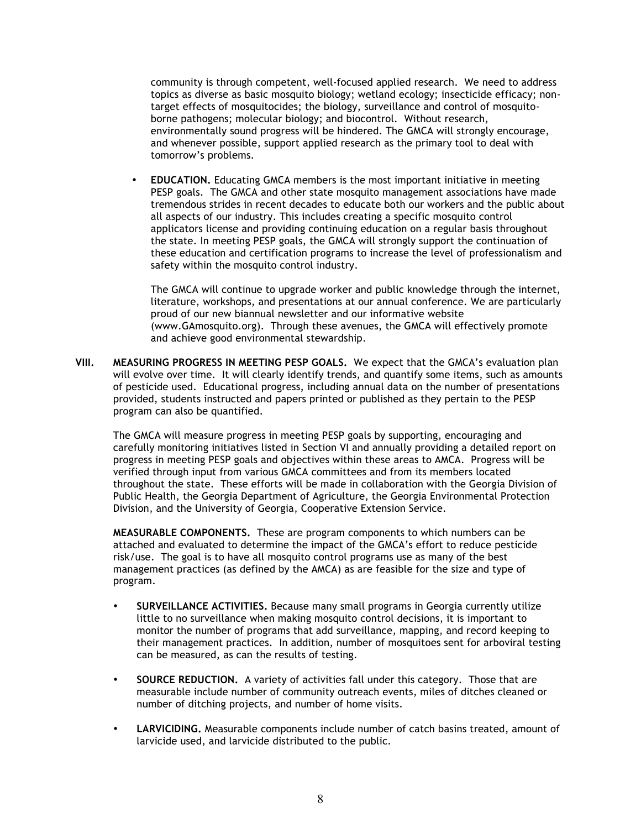community is through competent, well-focused applied research. We need to address topics as diverse as basic mosquito biology; wetland ecology; insecticide efficacy; nontarget effects of mosquitocides; the biology, surveillance and control of mosquitoborne pathogens; molecular biology; and biocontrol. Without research, environmentally sound progress will be hindered. The GMCA will strongly encourage, and whenever possible, support applied research as the primary tool to deal with tomorrow's problems.

• **EDUCATION.** Educating GMCA members is the most important initiative in meeting PESP goals. The GMCA and other state mosquito management associations have made tremendous strides in recent decades to educate both our workers and the public about all aspects of our industry. This includes creating a specific mosquito control applicators license and providing continuing education on a regular basis throughout the state. In meeting PESP goals, the GMCA will strongly support the continuation of these education and certification programs to increase the level of professionalism and safety within the mosquito control industry.

The GMCA will continue to upgrade worker and public knowledge through the internet, literature, workshops, and presentations at our annual conference. We are particularly proud of our new biannual newsletter and our informative website (www.GAmosquito.org). Through these avenues, the GMCA will effectively promote and achieve good environmental stewardship.

**VIII. MEASURING PROGRESS IN MEETING PESP GOALS.** We expect that the GMCA's evaluation plan will evolve over time. It will clearly identify trends, and quantify some items, such as amounts of pesticide used. Educational progress, including annual data on the number of presentations provided, students instructed and papers printed or published as they pertain to the PESP program can also be quantified.

The GMCA will measure progress in meeting PESP goals by supporting, encouraging and carefully monitoring initiatives listed in Section VI and annually providing a detailed report on progress in meeting PESP goals and objectives within these areas to AMCA. Progress will be verified through input from various GMCA committees and from its members located throughout the state. These efforts will be made in collaboration with the Georgia Division of Public Health, the Georgia Department of Agriculture, the Georgia Environmental Protection Division, and the University of Georgia, Cooperative Extension Service.

**MEASURABLE COMPONENTS.** These are program components to which numbers can be attached and evaluated to determine the impact of the GMCA's effort to reduce pesticide risk/use. The goal is to have all mosquito control programs use as many of the best management practices (as defined by the AMCA) as are feasible for the size and type of program.

- **SURVEILLANCE ACTIVITIES.** Because many small programs in Georgia currently utilize little to no surveillance when making mosquito control decisions, it is important to monitor the number of programs that add surveillance, mapping, and record keeping to their management practices. In addition, number of mosquitoes sent for arboviral testing can be measured, as can the results of testing.
- **SOURCE REDUCTION.** A variety of activities fall under this category. Those that are measurable include number of community outreach events, miles of ditches cleaned or number of ditching projects, and number of home visits.
- **LARVICIDING.** Measurable components include number of catch basins treated, amount of larvicide used, and larvicide distributed to the public.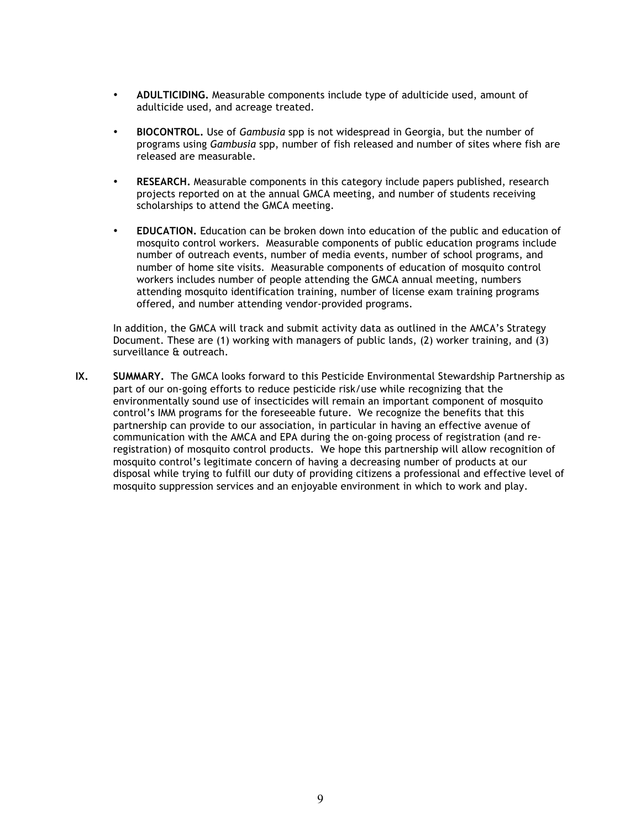- **ADULTICIDING.** Measurable components include type of adulticide used, amount of adulticide used, and acreage treated.
- **BIOCONTROL.** Use of *Gambusia* spp is not widespread in Georgia, but the number of programs using *Gambusia* spp, number of fish released and number of sites where fish are released are measurable.
- **RESEARCH.** Measurable components in this category include papers published, research projects reported on at the annual GMCA meeting, and number of students receiving scholarships to attend the GMCA meeting.
- **EDUCATION.** Education can be broken down into education of the public and education of mosquito control workers. Measurable components of public education programs include number of outreach events, number of media events, number of school programs, and number of home site visits. Measurable components of education of mosquito control workers includes number of people attending the GMCA annual meeting, numbers attending mosquito identification training, number of license exam training programs offered, and number attending vendor-provided programs.

In addition, the GMCA will track and submit activity data as outlined in the AMCA's Strategy Document. These are (1) working with managers of public lands, (2) worker training, and (3) surveillance & outreach.

**IX. SUMMARY.** The GMCA looks forward to this Pesticide Environmental Stewardship Partnership as part of our on-going efforts to reduce pesticide risk/use while recognizing that the environmentally sound use of insecticides will remain an important component of mosquito control's IMM programs for the foreseeable future. We recognize the benefits that this partnership can provide to our association, in particular in having an effective avenue of communication with the AMCA and EPA during the on-going process of registration (and reregistration) of mosquito control products. We hope this partnership will allow recognition of mosquito control's legitimate concern of having a decreasing number of products at our disposal while trying to fulfill our duty of providing citizens a professional and effective level of mosquito suppression services and an enjoyable environment in which to work and play.